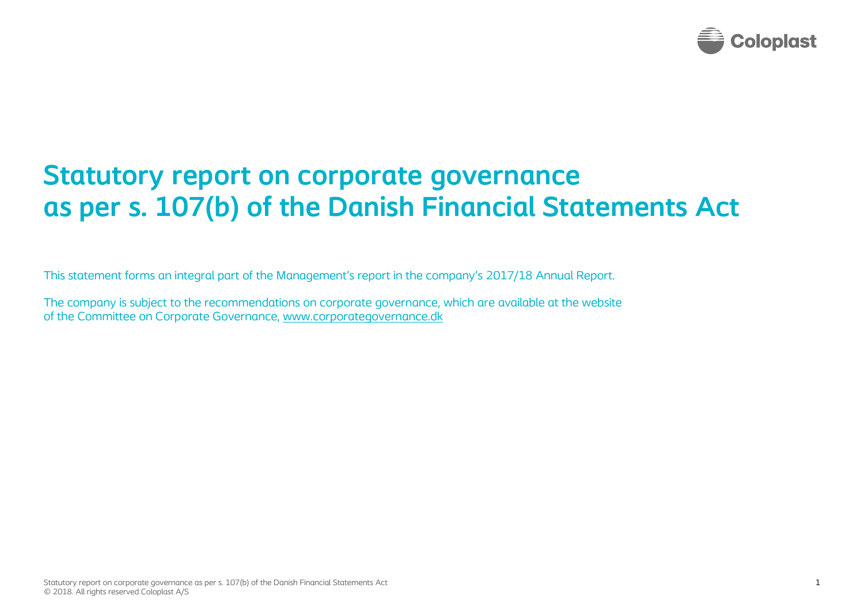

## **Statutory report on corporate governance as per s. 107(b) of the Danish Financial Statements Act**

This statement forms an integral part of the Management's report in the company's 2017/18 Annual Report.

The company is subject to the recommendations on corporate governance, which are available at the website of the Committee on Corporate Governance, [www.corporategovernance.dk](http://www.corporategovernance.dk/)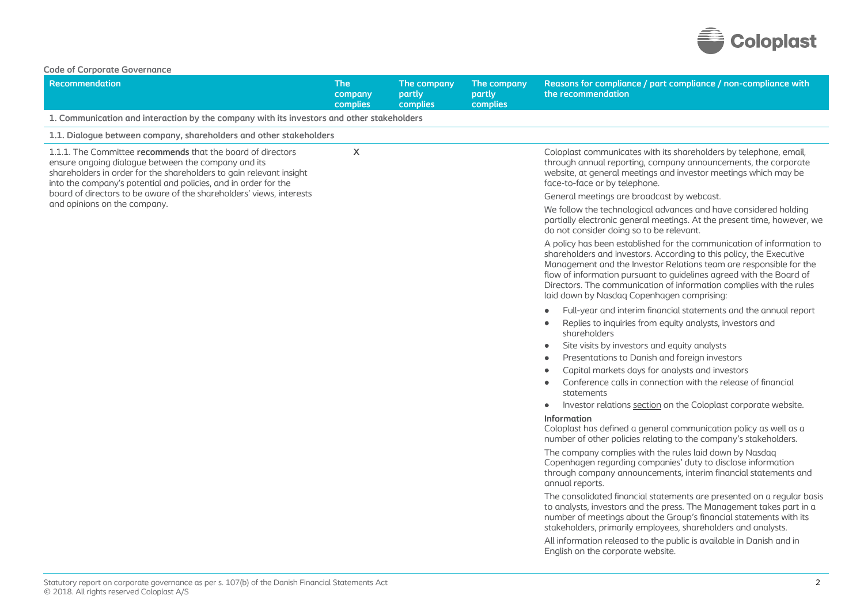

| <b>Code of Corporate Governance</b>                                                                                                                                                                                                                          |                                   |                                   |                                   |                                                                                                                                                                                                                                                                                                                                                                                                                |
|--------------------------------------------------------------------------------------------------------------------------------------------------------------------------------------------------------------------------------------------------------------|-----------------------------------|-----------------------------------|-----------------------------------|----------------------------------------------------------------------------------------------------------------------------------------------------------------------------------------------------------------------------------------------------------------------------------------------------------------------------------------------------------------------------------------------------------------|
| <b>Recommendation</b>                                                                                                                                                                                                                                        | <b>The</b><br>company<br>complies | The company<br>partly<br>complies | The company<br>partly<br>complies | Reasons for compliance / part compliance / non-compliance with<br>the recommendation                                                                                                                                                                                                                                                                                                                           |
| 1. Communication and interaction by the company with its investors and other stakeholders                                                                                                                                                                    |                                   |                                   |                                   |                                                                                                                                                                                                                                                                                                                                                                                                                |
| 1.1. Dialogue between company, shareholders and other stakeholders                                                                                                                                                                                           |                                   |                                   |                                   |                                                                                                                                                                                                                                                                                                                                                                                                                |
| 1.1.1. The Committee recommends that the board of directors<br>ensure ongoing dialogue between the company and its<br>shareholders in order for the shareholders to gain relevant insight<br>into the company's potential and policies, and in order for the | X                                 |                                   |                                   | Coloplast communicates with its shareholders by telephone, email,<br>through annual reporting, company announcements, the corporate<br>website, at general meetings and investor meetings which may be<br>face-to-face or by telephone.                                                                                                                                                                        |
| board of directors to be aware of the shareholders' views, interests                                                                                                                                                                                         |                                   |                                   |                                   | General meetings are broadcast by webcast.                                                                                                                                                                                                                                                                                                                                                                     |
| and opinions on the company.                                                                                                                                                                                                                                 |                                   |                                   |                                   | We follow the technological advances and have considered holding<br>partially electronic general meetings. At the present time, however, we<br>do not consider doing so to be relevant.                                                                                                                                                                                                                        |
|                                                                                                                                                                                                                                                              |                                   |                                   |                                   | A policy has been established for the communication of information to<br>shareholders and investors. According to this policy, the Executive<br>Management and the Investor Relations team are responsible for the<br>flow of information pursuant to guidelines agreed with the Board of<br>Directors. The communication of information complies with the rules<br>laid down by Nasdaq Copenhagen comprising: |
|                                                                                                                                                                                                                                                              |                                   |                                   |                                   | Full-year and interim financial statements and the annual report<br>Replies to inquiries from equity analysts, investors and<br>$\bullet$<br>shareholders                                                                                                                                                                                                                                                      |
|                                                                                                                                                                                                                                                              |                                   |                                   |                                   | Site visits by investors and equity analysts<br>$\bullet$                                                                                                                                                                                                                                                                                                                                                      |
|                                                                                                                                                                                                                                                              |                                   |                                   |                                   | Presentations to Danish and foreign investors<br>$\bullet$                                                                                                                                                                                                                                                                                                                                                     |
|                                                                                                                                                                                                                                                              |                                   |                                   |                                   | Capital markets days for analysts and investors<br>$\blacksquare$                                                                                                                                                                                                                                                                                                                                              |
|                                                                                                                                                                                                                                                              |                                   |                                   |                                   | Conference calls in connection with the release of financial<br>statements                                                                                                                                                                                                                                                                                                                                     |
|                                                                                                                                                                                                                                                              |                                   |                                   |                                   | Investor relations section on the Coloplast corporate website.<br>$\bullet$                                                                                                                                                                                                                                                                                                                                    |
|                                                                                                                                                                                                                                                              |                                   |                                   |                                   | Information<br>Coloplast has defined a general communication policy as well as a<br>number of other policies relating to the company's stakeholders.                                                                                                                                                                                                                                                           |
|                                                                                                                                                                                                                                                              |                                   |                                   |                                   | The company complies with the rules laid down by Nasdag<br>Copenhagen regarding companies' duty to disclose information<br>through company announcements, interim financial statements and<br>annual reports.                                                                                                                                                                                                  |
|                                                                                                                                                                                                                                                              |                                   |                                   |                                   | The consolidated financial statements are presented on a regular basis<br>to analysts, investors and the press. The Management takes part in a<br>number of meetings about the Group's financial statements with its<br>stakeholders, primarily employees, shareholders and analysts.                                                                                                                          |
|                                                                                                                                                                                                                                                              |                                   |                                   |                                   | All information released to the public is available in Danish and in<br>English on the corporate website.                                                                                                                                                                                                                                                                                                      |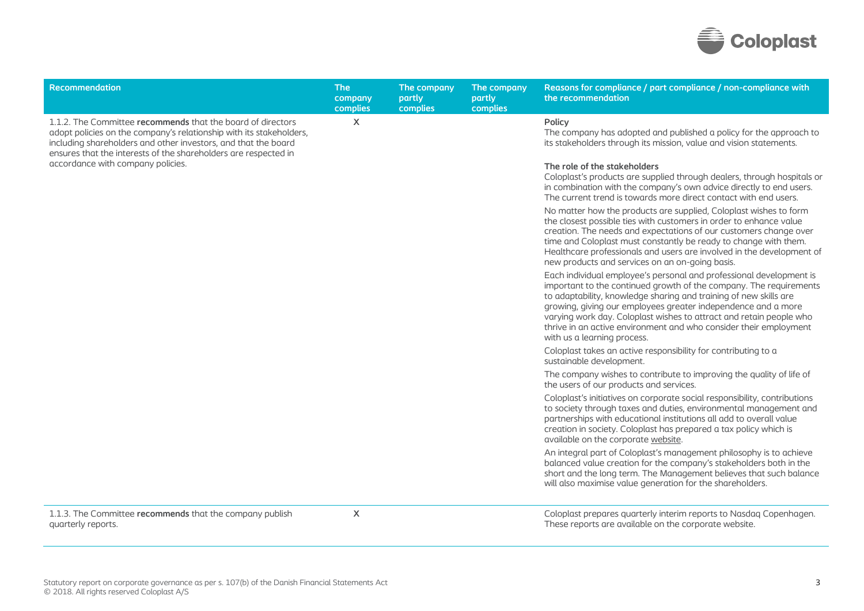

| Recommendation                                                                                                                                                                                                                                                          | <b>The</b><br>company<br>complies | The company<br>partly<br>complies | The company<br>partly<br>complies | Reasons for compliance / part compliance / non-compliance with<br>the recommendation                                                                                                                                                                                                                                                                                                                                                                       |
|-------------------------------------------------------------------------------------------------------------------------------------------------------------------------------------------------------------------------------------------------------------------------|-----------------------------------|-----------------------------------|-----------------------------------|------------------------------------------------------------------------------------------------------------------------------------------------------------------------------------------------------------------------------------------------------------------------------------------------------------------------------------------------------------------------------------------------------------------------------------------------------------|
| 1.1.2. The Committee recommends that the board of directors<br>adopt policies on the company's relationship with its stakeholders,<br>including shareholders and other investors, and that the board<br>ensures that the interests of the shareholders are respected in | $\mathsf{x}$                      |                                   |                                   | Policy<br>The company has adopted and published a policy for the approach to<br>its stakeholders through its mission, value and vision statements.                                                                                                                                                                                                                                                                                                         |
| accordance with company policies.                                                                                                                                                                                                                                       |                                   |                                   |                                   | The role of the stakeholders<br>Coloplast's products are supplied through dealers, through hospitals or<br>in combination with the company's own advice directly to end users.<br>The current trend is towards more direct contact with end users.                                                                                                                                                                                                         |
|                                                                                                                                                                                                                                                                         |                                   |                                   |                                   | No matter how the products are supplied, Coloplast wishes to form<br>the closest possible ties with customers in order to enhance value<br>creation. The needs and expectations of our customers change over<br>time and Coloplast must constantly be ready to change with them.<br>Healthcare professionals and users are involved in the development of<br>new products and services on an on-going basis.                                               |
|                                                                                                                                                                                                                                                                         |                                   |                                   |                                   | Each individual employee's personal and professional development is<br>important to the continued growth of the company. The requirements<br>to adaptability, knowledge sharing and training of new skills are<br>growing, giving our employees greater independence and a more<br>varying work day. Coloplast wishes to attract and retain people who<br>thrive in an active environment and who consider their employment<br>with us a learning process. |
|                                                                                                                                                                                                                                                                         |                                   |                                   |                                   | Coloplast takes an active responsibility for contributing to a<br>sustainable development.                                                                                                                                                                                                                                                                                                                                                                 |
|                                                                                                                                                                                                                                                                         |                                   |                                   |                                   | The company wishes to contribute to improving the quality of life of<br>the users of our products and services.                                                                                                                                                                                                                                                                                                                                            |
|                                                                                                                                                                                                                                                                         |                                   |                                   |                                   | Coloplast's initiatives on corporate social responsibility, contributions<br>to society through taxes and duties, environmental management and<br>partnerships with educational institutions all add to overall value<br>creation in society. Coloplast has prepared a tax policy which is<br>available on the corporate website.                                                                                                                          |
|                                                                                                                                                                                                                                                                         |                                   |                                   |                                   | An integral part of Coloplast's management philosophy is to achieve<br>balanced value creation for the company's stakeholders both in the<br>short and the long term. The Management believes that such balance<br>will also maximise value generation for the shareholders.                                                                                                                                                                               |
| 1.1.3. The Committee recommends that the company publish<br>quarterly reports.                                                                                                                                                                                          | X                                 |                                   |                                   | Coloplast prepares quarterly interim reports to Nasdaq Copenhagen.<br>These reports are available on the corporate website.                                                                                                                                                                                                                                                                                                                                |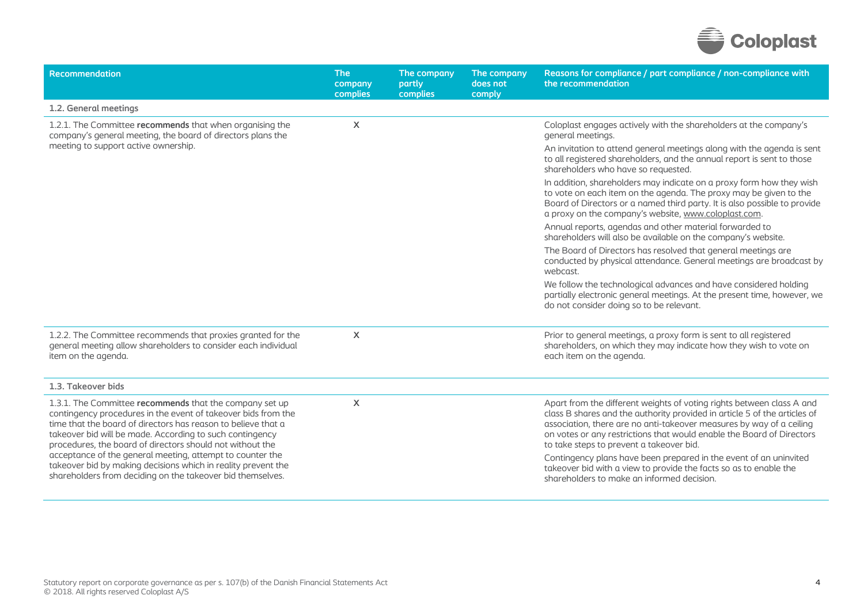

| Recommendation                                                                                                                                                                                                                                                                                                                                                                                                                                                                                                 | <b>The</b><br>company<br>complies | The company<br>partly<br>complies | The company<br>does not<br>comply | Reasons for compliance / part compliance / non-compliance with<br>the recommendation                                                                                                                                                                                                                                                            |
|----------------------------------------------------------------------------------------------------------------------------------------------------------------------------------------------------------------------------------------------------------------------------------------------------------------------------------------------------------------------------------------------------------------------------------------------------------------------------------------------------------------|-----------------------------------|-----------------------------------|-----------------------------------|-------------------------------------------------------------------------------------------------------------------------------------------------------------------------------------------------------------------------------------------------------------------------------------------------------------------------------------------------|
| 1.2. General meetings                                                                                                                                                                                                                                                                                                                                                                                                                                                                                          |                                   |                                   |                                   |                                                                                                                                                                                                                                                                                                                                                 |
| 1.2.1. The Committee recommends that when organising the<br>company's general meeting, the board of directors plans the                                                                                                                                                                                                                                                                                                                                                                                        | X                                 |                                   |                                   | Coloplast engages actively with the shareholders at the company's<br>general meetings.                                                                                                                                                                                                                                                          |
| meeting to support active ownership.                                                                                                                                                                                                                                                                                                                                                                                                                                                                           |                                   |                                   |                                   | An invitation to attend general meetings along with the agenda is sent<br>to all registered shareholders, and the annual report is sent to those<br>shareholders who have so requested.                                                                                                                                                         |
|                                                                                                                                                                                                                                                                                                                                                                                                                                                                                                                |                                   |                                   |                                   | In addition, shareholders may indicate on a proxy form how they wish<br>to vote on each item on the agenda. The proxy may be given to the<br>Board of Directors or a named third party. It is also possible to provide<br>a proxy on the company's website, www.coloplast.com.                                                                  |
|                                                                                                                                                                                                                                                                                                                                                                                                                                                                                                                |                                   |                                   |                                   | Annual reports, agendas and other material forwarded to<br>shareholders will also be available on the company's website.                                                                                                                                                                                                                        |
|                                                                                                                                                                                                                                                                                                                                                                                                                                                                                                                |                                   |                                   |                                   | The Board of Directors has resolved that general meetings are<br>conducted by physical attendance. General meetings are broadcast by<br>webcast.                                                                                                                                                                                                |
|                                                                                                                                                                                                                                                                                                                                                                                                                                                                                                                |                                   |                                   |                                   | We follow the technological advances and have considered holding<br>partially electronic general meetings. At the present time, however, we<br>do not consider doing so to be relevant.                                                                                                                                                         |
| 1.2.2. The Committee recommends that proxies granted for the<br>general meeting allow shareholders to consider each individual<br>item on the agenda.                                                                                                                                                                                                                                                                                                                                                          | X                                 |                                   |                                   | Prior to general meetings, a proxy form is sent to all registered<br>shareholders, on which they may indicate how they wish to vote on<br>each item on the agenda.                                                                                                                                                                              |
| 1.3. Takeover bids                                                                                                                                                                                                                                                                                                                                                                                                                                                                                             |                                   |                                   |                                   |                                                                                                                                                                                                                                                                                                                                                 |
| 1.3.1. The Committee recommends that the company set up<br>contingency procedures in the event of takeover bids from the<br>time that the board of directors has reason to believe that a<br>takeover bid will be made. According to such contingency<br>procedures, the board of directors should not without the<br>acceptance of the general meeting, attempt to counter the<br>takeover bid by making decisions which in reality prevent the<br>shareholders from deciding on the takeover bid themselves. | X                                 |                                   |                                   | Apart from the different weights of voting rights between class A and<br>class B shares and the authority provided in article 5 of the articles of<br>association, there are no anti-takeover measures by way of a ceiling<br>on votes or any restrictions that would enable the Board of Directors<br>to take steps to prevent a takeover bid. |
|                                                                                                                                                                                                                                                                                                                                                                                                                                                                                                                |                                   |                                   |                                   | Contingency plans have been prepared in the event of an uninvited<br>takeover bid with a view to provide the facts so as to enable the<br>shareholders to make an informed decision.                                                                                                                                                            |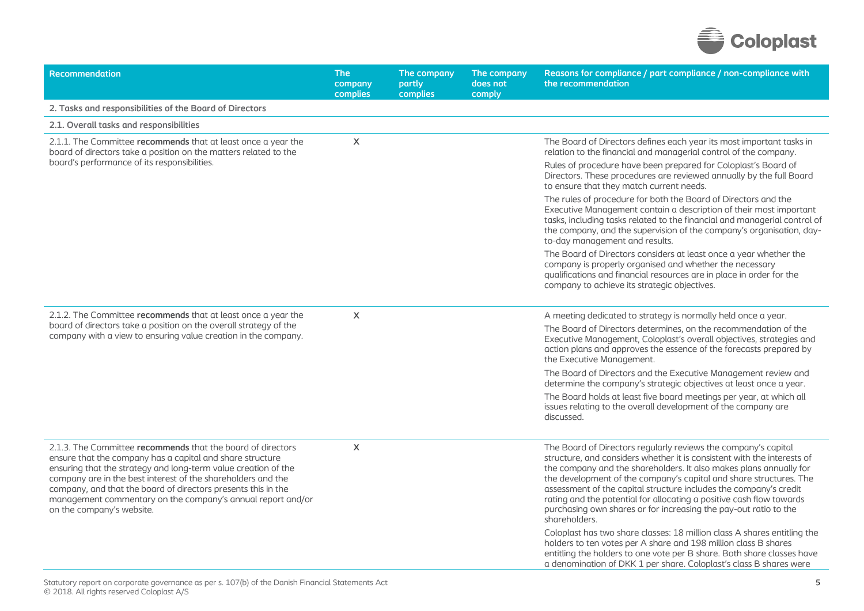

| Recommendation                                                                                                                                                                                                                                                                                                                                                                                                          | <b>The</b><br>company<br>complies | The company<br>partly<br>complies | The company<br>does not<br>comply | Reasons for compliance / part compliance / non-compliance with<br>the recommendation                                                                                                                                                                                                                                                                                                                                                                                                                                                                                                                |
|-------------------------------------------------------------------------------------------------------------------------------------------------------------------------------------------------------------------------------------------------------------------------------------------------------------------------------------------------------------------------------------------------------------------------|-----------------------------------|-----------------------------------|-----------------------------------|-----------------------------------------------------------------------------------------------------------------------------------------------------------------------------------------------------------------------------------------------------------------------------------------------------------------------------------------------------------------------------------------------------------------------------------------------------------------------------------------------------------------------------------------------------------------------------------------------------|
| 2. Tasks and responsibilities of the Board of Directors                                                                                                                                                                                                                                                                                                                                                                 |                                   |                                   |                                   |                                                                                                                                                                                                                                                                                                                                                                                                                                                                                                                                                                                                     |
| 2.1. Overall tasks and responsibilities                                                                                                                                                                                                                                                                                                                                                                                 |                                   |                                   |                                   |                                                                                                                                                                                                                                                                                                                                                                                                                                                                                                                                                                                                     |
| 2.1.1. The Committee recommends that at least once a year the<br>board of directors take a position on the matters related to the                                                                                                                                                                                                                                                                                       | X                                 |                                   |                                   | The Board of Directors defines each year its most important tasks in<br>relation to the financial and managerial control of the company.                                                                                                                                                                                                                                                                                                                                                                                                                                                            |
| board's performance of its responsibilities.                                                                                                                                                                                                                                                                                                                                                                            |                                   |                                   |                                   | Rules of procedure have been prepared for Coloplast's Board of<br>Directors. These procedures are reviewed annually by the full Board<br>to ensure that they match current needs.                                                                                                                                                                                                                                                                                                                                                                                                                   |
|                                                                                                                                                                                                                                                                                                                                                                                                                         |                                   |                                   |                                   | The rules of procedure for both the Board of Directors and the<br>Executive Management contain a description of their most important<br>tasks, including tasks related to the financial and managerial control of<br>the company, and the supervision of the company's organisation, day-<br>to-day management and results.                                                                                                                                                                                                                                                                         |
|                                                                                                                                                                                                                                                                                                                                                                                                                         |                                   |                                   |                                   | The Board of Directors considers at least once a year whether the<br>company is properly organised and whether the necessary<br>qualifications and financial resources are in place in order for the<br>company to achieve its strategic objectives.                                                                                                                                                                                                                                                                                                                                                |
| 2.1.2. The Committee recommends that at least once a year the<br>board of directors take a position on the overall strategy of the<br>company with a view to ensuring value creation in the company.                                                                                                                                                                                                                    | $\sf X$                           |                                   |                                   | A meeting dedicated to strategy is normally held once a year.                                                                                                                                                                                                                                                                                                                                                                                                                                                                                                                                       |
|                                                                                                                                                                                                                                                                                                                                                                                                                         |                                   |                                   |                                   | The Board of Directors determines, on the recommendation of the<br>Executive Management, Coloplast's overall objectives, strategies and<br>action plans and approves the essence of the forecasts prepared by<br>the Executive Management.                                                                                                                                                                                                                                                                                                                                                          |
|                                                                                                                                                                                                                                                                                                                                                                                                                         |                                   |                                   |                                   | The Board of Directors and the Executive Management review and<br>determine the company's strategic objectives at least once a year.                                                                                                                                                                                                                                                                                                                                                                                                                                                                |
|                                                                                                                                                                                                                                                                                                                                                                                                                         |                                   |                                   |                                   | The Board holds at least five board meetings per year, at which all<br>issues relating to the overall development of the company are<br>discussed.                                                                                                                                                                                                                                                                                                                                                                                                                                                  |
| 2.1.3. The Committee recommends that the board of directors<br>ensure that the company has a capital and share structure<br>ensuring that the strategy and long-term value creation of the<br>company are in the best interest of the shareholders and the<br>company, and that the board of directors presents this in the<br>management commentary on the company's annual report and/or<br>on the company's website. | $\boldsymbol{\mathsf{X}}$         |                                   |                                   | The Board of Directors regularly reviews the company's capital<br>structure, and considers whether it is consistent with the interests of<br>the company and the shareholders. It also makes plans annually for<br>the development of the company's capital and share structures. The<br>assessment of the capital structure includes the company's credit<br>rating and the potential for allocating a positive cash flow towards<br>purchasing own shares or for increasing the pay-out ratio to the<br>shareholders.<br>Coloplast has two share classes: 18 million class A shares entitling the |
|                                                                                                                                                                                                                                                                                                                                                                                                                         |                                   |                                   |                                   | holders to ten votes per A share and 198 million class B shares<br>entitling the holders to one vote per B share. Both share classes have<br>a denomination of DKK 1 per share. Coloplast's class B shares were                                                                                                                                                                                                                                                                                                                                                                                     |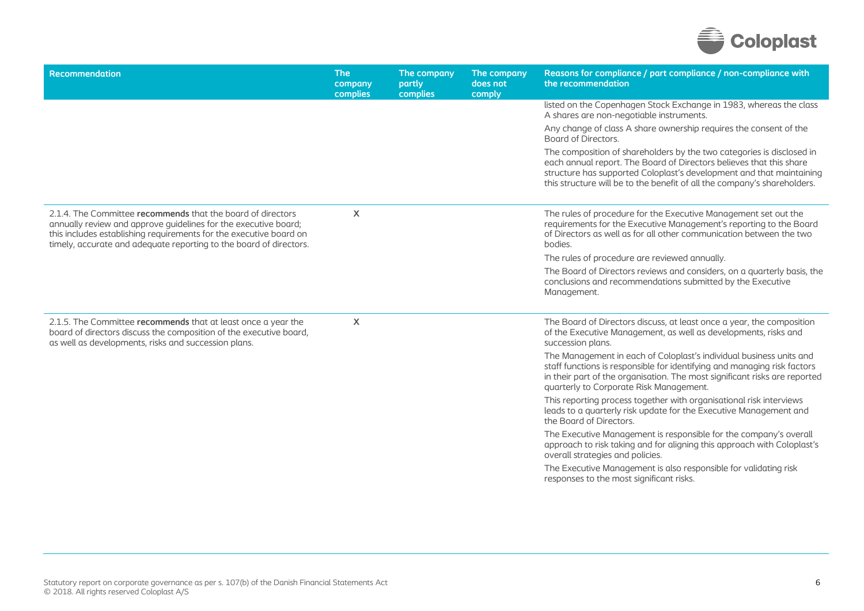

| Recommendation                                                                                                                                                                                                                                                             | <b>The</b><br>company<br>complies | The company<br>partly<br>complies | The company<br>does not<br>comply | Reasons for compliance / part compliance / non-compliance with<br>the recommendation                                                                                                                                                                                                             |
|----------------------------------------------------------------------------------------------------------------------------------------------------------------------------------------------------------------------------------------------------------------------------|-----------------------------------|-----------------------------------|-----------------------------------|--------------------------------------------------------------------------------------------------------------------------------------------------------------------------------------------------------------------------------------------------------------------------------------------------|
|                                                                                                                                                                                                                                                                            |                                   |                                   |                                   | listed on the Copenhagen Stock Exchange in 1983, whereas the class<br>A shares are non-negotiable instruments.                                                                                                                                                                                   |
|                                                                                                                                                                                                                                                                            |                                   |                                   |                                   | Any change of class A share ownership requires the consent of the<br>Board of Directors.                                                                                                                                                                                                         |
|                                                                                                                                                                                                                                                                            |                                   |                                   |                                   | The composition of shareholders by the two categories is disclosed in<br>each annual report. The Board of Directors believes that this share<br>structure has supported Coloplast's development and that maintaining<br>this structure will be to the benefit of all the company's shareholders. |
| 2.1.4. The Committee recommends that the board of directors<br>annually review and approve guidelines for the executive board;<br>this includes establishing requirements for the executive board on<br>timely, accurate and adequate reporting to the board of directors. | X                                 |                                   |                                   | The rules of procedure for the Executive Management set out the<br>requirements for the Executive Management's reporting to the Board<br>of Directors as well as for all other communication between the two<br>bodies.                                                                          |
|                                                                                                                                                                                                                                                                            |                                   |                                   |                                   | The rules of procedure are reviewed annually.                                                                                                                                                                                                                                                    |
|                                                                                                                                                                                                                                                                            |                                   |                                   |                                   | The Board of Directors reviews and considers, on a quarterly basis, the<br>conclusions and recommendations submitted by the Executive<br>Management.                                                                                                                                             |
| 2.1.5. The Committee recommends that at least once a year the<br>board of directors discuss the composition of the executive board,<br>as well as developments, risks and succession plans.                                                                                | X                                 |                                   |                                   | The Board of Directors discuss, at least once a year, the composition<br>of the Executive Management, as well as developments, risks and<br>succession plans.                                                                                                                                    |
|                                                                                                                                                                                                                                                                            |                                   |                                   |                                   | The Management in each of Coloplast's individual business units and<br>staff functions is responsible for identifying and managing risk factors<br>in their part of the organisation. The most significant risks are reported<br>quarterly to Corporate Risk Management.                         |
|                                                                                                                                                                                                                                                                            |                                   |                                   |                                   | This reporting process together with organisational risk interviews<br>leads to a quarterly risk update for the Executive Management and<br>the Board of Directors.                                                                                                                              |
|                                                                                                                                                                                                                                                                            |                                   |                                   |                                   | The Executive Management is responsible for the company's overall<br>approach to risk taking and for aligning this approach with Coloplast's<br>overall strategies and policies.                                                                                                                 |
|                                                                                                                                                                                                                                                                            |                                   |                                   |                                   | The Executive Management is also responsible for validating risk<br>responses to the most significant risks.                                                                                                                                                                                     |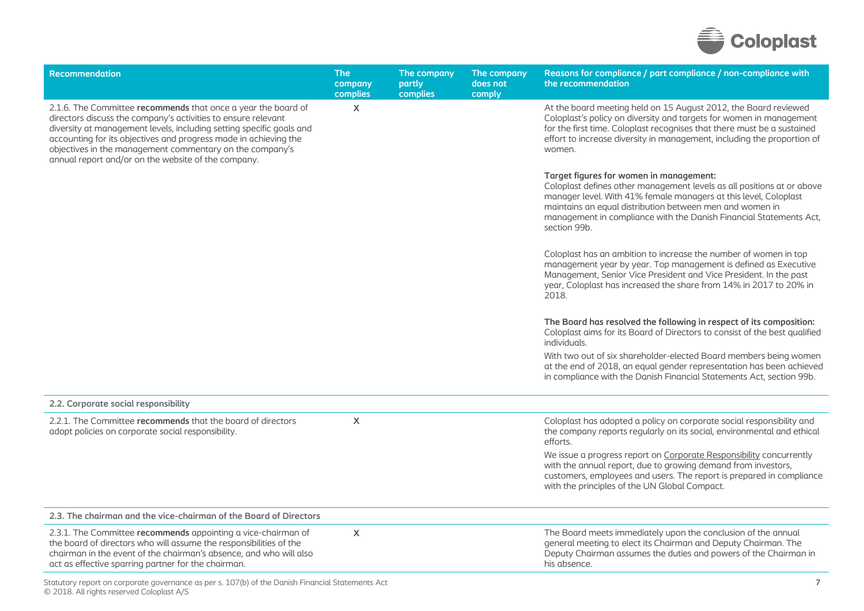

| Recommendation                                                                                                                                                                                                                                                                                                                                                                                | <b>The</b><br>company<br>complies | The company<br>partly<br>complies | The company<br>does not<br>comply | Reasons for compliance / part compliance / non-compliance with<br>the recommendation                                                                                                                                                                                                                                                    |
|-----------------------------------------------------------------------------------------------------------------------------------------------------------------------------------------------------------------------------------------------------------------------------------------------------------------------------------------------------------------------------------------------|-----------------------------------|-----------------------------------|-----------------------------------|-----------------------------------------------------------------------------------------------------------------------------------------------------------------------------------------------------------------------------------------------------------------------------------------------------------------------------------------|
| 2.1.6. The Committee recommends that once a year the board of<br>directors discuss the company's activities to ensure relevant<br>diversity at management levels, including setting specific goals and<br>accounting for its objectives and progress made in achieving the<br>objectives in the management commentary on the company's<br>annual report and/or on the website of the company. | X                                 |                                   |                                   | At the board meeting held on 15 August 2012, the Board reviewed<br>Coloplast's policy on diversity and targets for women in management<br>for the first time. Coloplast recognises that there must be a sustained<br>effort to increase diversity in management, including the proportion of<br>women.                                  |
|                                                                                                                                                                                                                                                                                                                                                                                               |                                   |                                   |                                   | Target figures for women in management:<br>Coloplast defines other management levels as all positions at or above<br>manager level. With 41% female managers at this level, Coloplast<br>maintains an equal distribution between men and women in<br>management in compliance with the Danish Financial Statements Act,<br>section 99b. |
|                                                                                                                                                                                                                                                                                                                                                                                               |                                   |                                   |                                   | Coloplast has an ambition to increase the number of women in top<br>management year by year. Top management is defined as Executive<br>Management, Senior Vice President and Vice President. In the past<br>year, Coloplast has increased the share from 14% in 2017 to 20% in<br>2018.                                                 |
|                                                                                                                                                                                                                                                                                                                                                                                               |                                   |                                   |                                   | The Board has resolved the following in respect of its composition:<br>Coloplast aims for its Board of Directors to consist of the best qualified<br>individuals.                                                                                                                                                                       |
|                                                                                                                                                                                                                                                                                                                                                                                               |                                   |                                   |                                   | With two out of six shareholder-elected Board members being women<br>at the end of 2018, an equal gender representation has been achieved<br>in compliance with the Danish Financial Statements Act, section 99b.                                                                                                                       |
| 2.2. Corporate social responsibility                                                                                                                                                                                                                                                                                                                                                          |                                   |                                   |                                   |                                                                                                                                                                                                                                                                                                                                         |
| 2.2.1. The Committee recommends that the board of directors<br>adopt policies on corporate social responsibility.                                                                                                                                                                                                                                                                             | X                                 |                                   |                                   | Coloplast has adopted a policy on corporate social responsibility and<br>the company reports regularly on its social, environmental and ethical<br>efforts.                                                                                                                                                                             |
|                                                                                                                                                                                                                                                                                                                                                                                               |                                   |                                   |                                   | We issue a progress report on Corporate Responsibility concurrently<br>with the annual report, due to growing demand from investors,<br>customers, employees and users. The report is prepared in compliance<br>with the principles of the UN Global Compact.                                                                           |
| 2.3. The chairman and the vice-chairman of the Board of Directors                                                                                                                                                                                                                                                                                                                             |                                   |                                   |                                   |                                                                                                                                                                                                                                                                                                                                         |
| 2.3.1. The Committee recommends appointing a vice-chairman of<br>the board of directors who will assume the responsibilities of the<br>chairman in the event of the chairman's absence, and who will also<br>act as effective sparring partner for the chairman.                                                                                                                              | X                                 |                                   |                                   | The Board meets immediately upon the conclusion of the annual<br>general meeting to elect its Chairman and Deputy Chairman. The<br>Deputy Chairman assumes the duties and powers of the Chairman in<br>his absence.                                                                                                                     |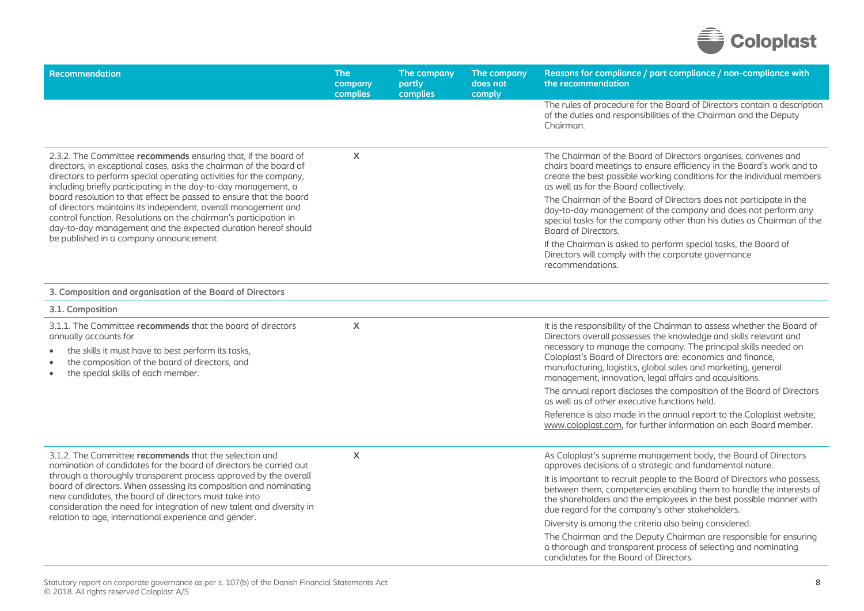

| Recommendation                                                                                                                                                                                                                                                                                                       | <b>The</b><br>company<br>complies | The company<br>partly<br>complies | The company<br>does not<br>comply | Reasons for compliance / part compliance / non-compliance with<br>the recommendation                                                                                                                                                                                                                                                                                                                      |
|----------------------------------------------------------------------------------------------------------------------------------------------------------------------------------------------------------------------------------------------------------------------------------------------------------------------|-----------------------------------|-----------------------------------|-----------------------------------|-----------------------------------------------------------------------------------------------------------------------------------------------------------------------------------------------------------------------------------------------------------------------------------------------------------------------------------------------------------------------------------------------------------|
|                                                                                                                                                                                                                                                                                                                      |                                   |                                   |                                   | The rules of procedure for the Board of Directors contain a description<br>of the duties and responsibilities of the Chairman and the Deputy<br>Chairman.                                                                                                                                                                                                                                                 |
| 2.3.2. The Committee recommends ensuring that, if the board of<br>directors, in exceptional cases, asks the chairman of the board of<br>directors to perform special operating activities for the company,<br>including briefly participating in the day-to-day management, a                                        | $\boldsymbol{\mathsf{X}}$         |                                   |                                   | The Chairman of the Board of Directors organises, convenes and<br>chairs board meetings to ensure efficiency in the Board's work and to<br>create the best possible working conditions for the individual members<br>as well as for the Board collectively.                                                                                                                                               |
| board resolution to that effect be passed to ensure that the board<br>of directors maintains its independent, overall management and<br>control function. Resolutions on the chairman's participation in<br>day-to-day management and the expected duration hereof should<br>be published in a company announcement. |                                   |                                   |                                   | The Chairman of the Board of Directors does not participate in the<br>day-to-day management of the company and does not perform any<br>special tasks for the company other than his duties as Chairman of the<br>Board of Directors.                                                                                                                                                                      |
|                                                                                                                                                                                                                                                                                                                      |                                   |                                   |                                   | If the Chairman is asked to perform special tasks, the Board of<br>Directors will comply with the corporate governance<br>recommendations.                                                                                                                                                                                                                                                                |
| 3. Composition and organisation of the Board of Directors                                                                                                                                                                                                                                                            |                                   |                                   |                                   |                                                                                                                                                                                                                                                                                                                                                                                                           |
| 3.1. Composition                                                                                                                                                                                                                                                                                                     |                                   |                                   |                                   |                                                                                                                                                                                                                                                                                                                                                                                                           |
| 3.1.1. The Committee recommends that the board of directors<br>annually accounts for<br>the skills it must have to best perform its tasks,<br>the composition of the board of directors, and<br>the special skills of each member.<br>$\bullet$                                                                      | X                                 |                                   |                                   | It is the responsibility of the Chairman to assess whether the Board of<br>Directors overall possesses the knowledge and skills relevant and<br>necessary to manage the company. The principal skills needed on<br>Coloplast's Board of Directors are: economics and finance,<br>manufacturing, logistics, global sales and marketing, general<br>management, innovation, legal affairs and acquisitions. |
|                                                                                                                                                                                                                                                                                                                      |                                   |                                   |                                   | The annual report discloses the composition of the Board of Directors<br>as well as of other executive functions held.                                                                                                                                                                                                                                                                                    |
|                                                                                                                                                                                                                                                                                                                      |                                   |                                   |                                   | Reference is also made in the annual report to the Coloplast website,<br>www.coloplast.com, for further information on each Board member.                                                                                                                                                                                                                                                                 |
| 3.1.2. The Committee recommends that the selection and<br>nomination of candidates for the board of directors be carried out                                                                                                                                                                                         | $\pmb{\times}$                    |                                   |                                   | As Coloplast's supreme management body, the Board of Directors<br>approves decisions of a strategic and fundamental nature.                                                                                                                                                                                                                                                                               |
| through a thoroughly transparent process approved by the overall<br>board of directors. When assessing its composition and nominating<br>new candidates, the board of directors must take into<br>consideration the need for integration of new talent and diversity in                                              |                                   |                                   |                                   | It is important to recruit people to the Board of Directors who possess,<br>between them, competencies enabling them to handle the interests of<br>the shareholders and the employees in the best possible manner with<br>due regard for the company's other stakeholders.                                                                                                                                |
| relation to age, international experience and gender.                                                                                                                                                                                                                                                                |                                   |                                   |                                   | Diversity is among the criteria also being considered.                                                                                                                                                                                                                                                                                                                                                    |
|                                                                                                                                                                                                                                                                                                                      |                                   |                                   |                                   | The Chairman and the Deputy Chairman are responsible for ensuring<br>a thorough and transparent process of selecting and nominating<br>candidates for the Board of Directors.                                                                                                                                                                                                                             |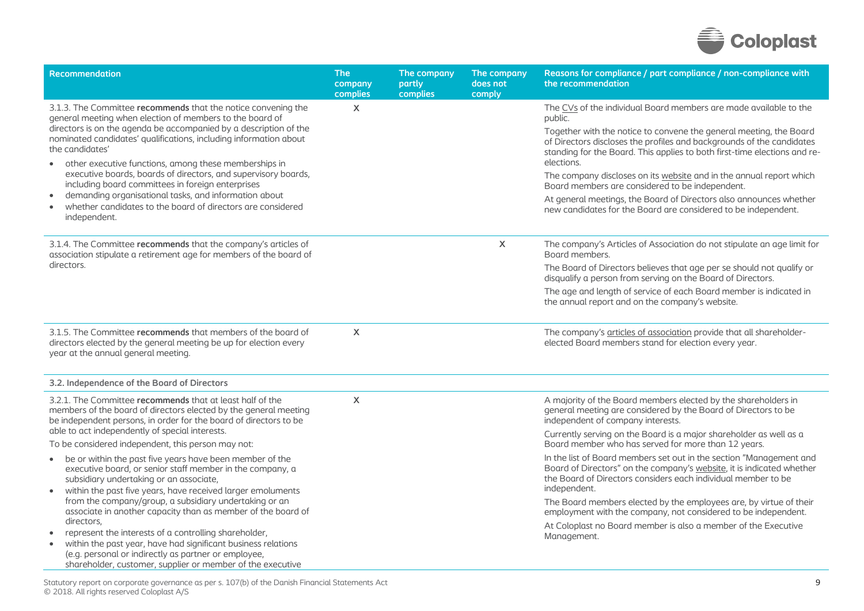

| <b>Recommendation</b>                                                                                                                                                                                                                                                                                                                                                                                                                                                                                                                                                                                                                             | <b>The</b><br>company<br>complies | The company<br>partly<br>complies | The company<br>does not<br>comply | Reasons for compliance / part compliance / non-compliance with<br>the recommendation                                                                                                                                                                                                                                                                                                                                                                                                                                                                                                     |
|---------------------------------------------------------------------------------------------------------------------------------------------------------------------------------------------------------------------------------------------------------------------------------------------------------------------------------------------------------------------------------------------------------------------------------------------------------------------------------------------------------------------------------------------------------------------------------------------------------------------------------------------------|-----------------------------------|-----------------------------------|-----------------------------------|------------------------------------------------------------------------------------------------------------------------------------------------------------------------------------------------------------------------------------------------------------------------------------------------------------------------------------------------------------------------------------------------------------------------------------------------------------------------------------------------------------------------------------------------------------------------------------------|
| 3.1.3. The Committee recommends that the notice convening the<br>general meeting when election of members to the board of<br>directors is on the agenda be accompanied by a description of the<br>nominated candidates' qualifications, including information about<br>the candidates'<br>other executive functions, among these memberships in<br>$\bullet$<br>executive boards, boards of directors, and supervisory boards,<br>including board committees in foreign enterprises<br>demanding organisational tasks, and information about<br>$\bullet$<br>whether candidates to the board of directors are considered<br>independent.          | X                                 |                                   |                                   | The CVs of the individual Board members are made available to the<br>public.<br>Together with the notice to convene the general meeting, the Board<br>of Directors discloses the profiles and backgrounds of the candidates<br>standing for the Board. This applies to both first-time elections and re-<br>elections.<br>The company discloses on its website and in the annual report which<br>Board members are considered to be independent.<br>At general meetings, the Board of Directors also announces whether<br>new candidates for the Board are considered to be independent. |
| 3.1.4. The Committee recommends that the company's articles of<br>association stipulate a retirement age for members of the board of<br>directors.                                                                                                                                                                                                                                                                                                                                                                                                                                                                                                |                                   |                                   | X                                 | The company's Articles of Association do not stipulate an age limit for<br>Board members.<br>The Board of Directors believes that age per se should not qualify or<br>disqualify a person from serving on the Board of Directors.<br>The age and length of service of each Board member is indicated in<br>the annual report and on the company's website.                                                                                                                                                                                                                               |
| 3.1.5. The Committee recommends that members of the board of<br>directors elected by the general meeting be up for election every<br>year at the annual general meeting.                                                                                                                                                                                                                                                                                                                                                                                                                                                                          | $\mathsf{X}$                      |                                   |                                   | The company's articles of association provide that all shareholder-<br>elected Board members stand for election every year.                                                                                                                                                                                                                                                                                                                                                                                                                                                              |
| 3.2. Independence of the Board of Directors                                                                                                                                                                                                                                                                                                                                                                                                                                                                                                                                                                                                       |                                   |                                   |                                   |                                                                                                                                                                                                                                                                                                                                                                                                                                                                                                                                                                                          |
| 3.2.1. The Committee recommends that at least half of the<br>members of the board of directors elected by the general meeting<br>be independent persons, in order for the board of directors to be<br>able to act independently of special interests.<br>To be considered independent, this person may not:                                                                                                                                                                                                                                                                                                                                       | $\mathsf{X}$                      |                                   |                                   | A majority of the Board members elected by the shareholders in<br>general meeting are considered by the Board of Directors to be<br>independent of company interests.<br>Currently serving on the Board is a major shareholder as well as a<br>Board member who has served for more than 12 years.                                                                                                                                                                                                                                                                                       |
| be or within the past five years have been member of the<br>$\bullet$<br>executive board, or senior staff member in the company, a<br>subsidiary undertaking or an associate,<br>within the past five years, have received larger emoluments<br>$\bullet$<br>from the company/group, a subsidiary undertaking or an<br>associate in another capacity than as member of the board of<br>directors,<br>represent the interests of a controlling shareholder,<br>within the past year, have had significant business relations<br>(e.g. personal or indirectly as partner or employee,<br>shareholder, customer, supplier or member of the executive |                                   |                                   |                                   | In the list of Board members set out in the section "Management and<br>Board of Directors" on the company's website, it is indicated whether<br>the Board of Directors considers each individual member to be<br>independent.<br>The Board members elected by the employees are, by virtue of their<br>employment with the company, not considered to be independent.<br>At Coloplast no Board member is also a member of the Executive<br>Management.                                                                                                                                   |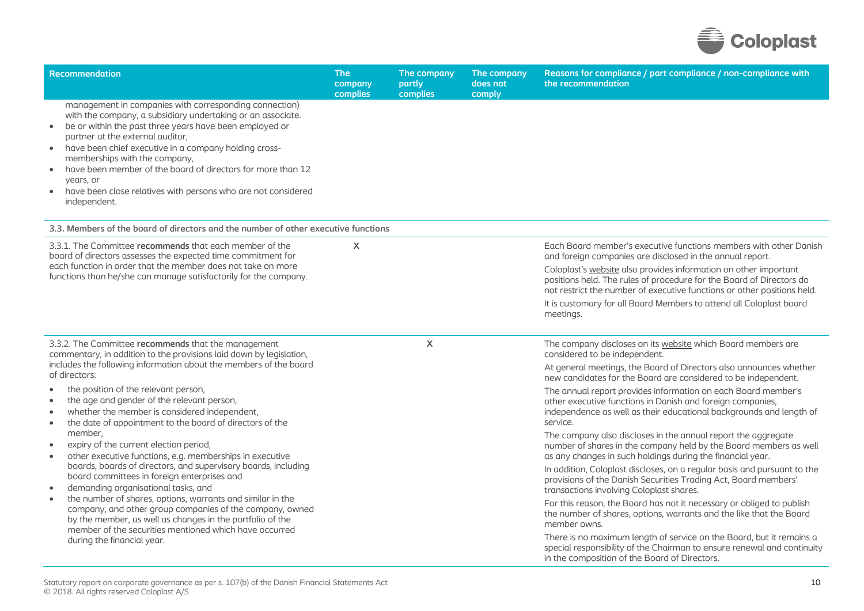

| <b>Recommendation</b>                                                                                                                                                                                                                                                                                                                                                                                                                                                                                                           | <b>The</b><br>company<br>complies | The company<br>partly<br>complies | The company<br>does not<br>comply | Reasons for compliance / part compliance / non-compliance with<br>the recommendation                                                                                                                                |  |  |
|---------------------------------------------------------------------------------------------------------------------------------------------------------------------------------------------------------------------------------------------------------------------------------------------------------------------------------------------------------------------------------------------------------------------------------------------------------------------------------------------------------------------------------|-----------------------------------|-----------------------------------|-----------------------------------|---------------------------------------------------------------------------------------------------------------------------------------------------------------------------------------------------------------------|--|--|
| management in companies with corresponding connection)<br>with the company, a subsidiary undertaking or an associate.<br>be or within the past three years have been employed or<br>$\bullet$<br>partner at the external auditor,<br>have been chief executive in a company holding cross-<br>$\bullet$<br>memberships with the company,<br>have been member of the board of directors for more than 12<br>$\bullet$<br>vears, or<br>have been close relatives with persons who are not considered<br>$\bullet$<br>independent. |                                   |                                   |                                   |                                                                                                                                                                                                                     |  |  |
| 3.3. Members of the board of directors and the number of other executive functions                                                                                                                                                                                                                                                                                                                                                                                                                                              |                                   |                                   |                                   |                                                                                                                                                                                                                     |  |  |
| 3.3.1. The Committee recommends that each member of the<br>board of directors assesses the expected time commitment for<br>each function in order that the member does not take on more<br>functions than he/she can manage satisfactorily for the company.                                                                                                                                                                                                                                                                     | $\mathsf{x}$                      |                                   |                                   | Each Board member's executive functions members with other Danish<br>and foreign companies are disclosed in the annual report.                                                                                      |  |  |
|                                                                                                                                                                                                                                                                                                                                                                                                                                                                                                                                 |                                   |                                   |                                   | Coloplast's website also provides information on other important<br>positions held. The rules of procedure for the Board of Directors do<br>not restrict the number of executive functions or other positions held. |  |  |
|                                                                                                                                                                                                                                                                                                                                                                                                                                                                                                                                 |                                   |                                   |                                   | It is customary for all Board Members to attend all Coloplast board<br>meetings.                                                                                                                                    |  |  |
| 3.3.2. The Committee recommends that the management<br>commentary, in addition to the provisions laid down by legislation,                                                                                                                                                                                                                                                                                                                                                                                                      |                                   | $\boldsymbol{\mathsf{X}}$         |                                   | The company discloses on its website which Board members are<br>considered to be independent.                                                                                                                       |  |  |
| includes the following information about the members of the board<br>of directors:                                                                                                                                                                                                                                                                                                                                                                                                                                              |                                   |                                   |                                   | At general meetings, the Board of Directors also announces whether<br>new candidates for the Board are considered to be independent.                                                                                |  |  |
| the position of the relevant person,<br>the age and gender of the relevant person,<br>$\bullet$<br>whether the member is considered independent,<br>$\bullet$<br>the date of appointment to the board of directors of the<br>$\bullet$                                                                                                                                                                                                                                                                                          |                                   |                                   |                                   | The annual report provides information on each Board member's<br>other executive functions in Danish and foreign companies,<br>independence as well as their educational backgrounds and length of<br>service.      |  |  |
| member,<br>expiry of the current election period,<br>other executive functions, e.g. memberships in executive<br>$\bullet$                                                                                                                                                                                                                                                                                                                                                                                                      |                                   |                                   |                                   | The company also discloses in the annual report the aggregate<br>number of shares in the company held by the Board members as well<br>as any changes in such holdings during the financial year.                    |  |  |
| boards, boards of directors, and supervisory boards, including<br>board committees in foreign enterprises and<br>demanding organisational tasks, and<br>$\bullet$                                                                                                                                                                                                                                                                                                                                                               |                                   |                                   |                                   | In addition, Coloplast discloses, on a regular basis and pursuant to the<br>provisions of the Danish Securities Trading Act, Board members'<br>transactions involving Coloplast shares.                             |  |  |
| the number of shares, options, warrants and similar in the<br>$\bullet$<br>company, and other group companies of the company, owned<br>by the member, as well as changes in the portfolio of the<br>member of the securities mentioned which have occurred                                                                                                                                                                                                                                                                      |                                   |                                   |                                   | For this reason, the Board has not it necessary or obliged to publish<br>the number of shares, options, warrants and the like that the Board<br>member owns.                                                        |  |  |
| during the financial year.                                                                                                                                                                                                                                                                                                                                                                                                                                                                                                      |                                   |                                   |                                   | There is no maximum length of service on the Board, but it remains a<br>special responsibility of the Chairman to ensure renewal and continuity<br>in the composition of the Board of Directors.                    |  |  |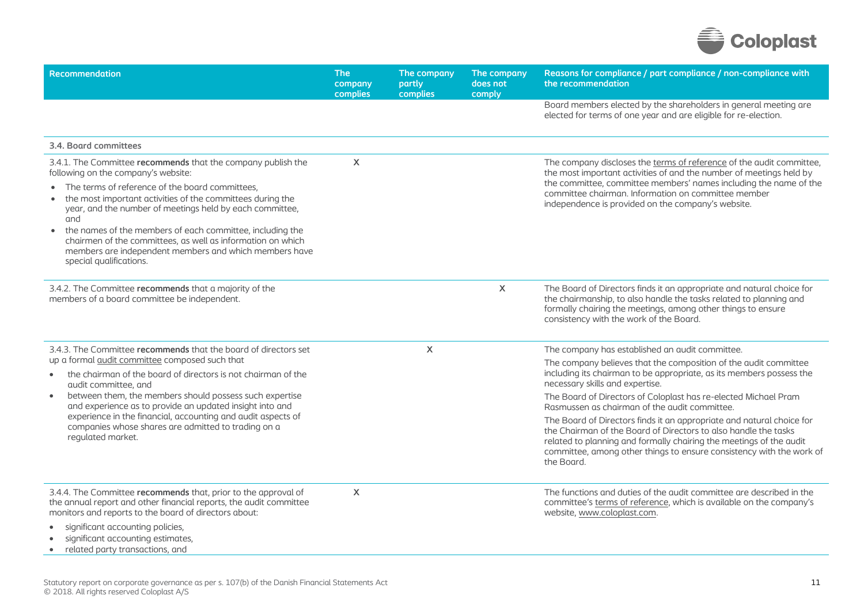

| Recommendation                                                                                                                                                                                                                                                                                                                                                                                                 | <b>The</b><br>company<br>complies | The company<br>partly<br>complies | The company<br>does not<br>comply                                                                                                                                                                                                                                                                     | Reasons for compliance / part compliance / non-compliance with<br>the recommendation                                                                                                                                                                   |
|----------------------------------------------------------------------------------------------------------------------------------------------------------------------------------------------------------------------------------------------------------------------------------------------------------------------------------------------------------------------------------------------------------------|-----------------------------------|-----------------------------------|-------------------------------------------------------------------------------------------------------------------------------------------------------------------------------------------------------------------------------------------------------------------------------------------------------|--------------------------------------------------------------------------------------------------------------------------------------------------------------------------------------------------------------------------------------------------------|
|                                                                                                                                                                                                                                                                                                                                                                                                                |                                   |                                   |                                                                                                                                                                                                                                                                                                       | Board members elected by the shareholders in general meeting are<br>elected for terms of one year and are eligible for re-election.                                                                                                                    |
| 3.4. Board committees                                                                                                                                                                                                                                                                                                                                                                                          |                                   |                                   |                                                                                                                                                                                                                                                                                                       |                                                                                                                                                                                                                                                        |
| 3.4.1. The Committee recommends that the company publish the<br>following on the company's website:                                                                                                                                                                                                                                                                                                            | X                                 |                                   |                                                                                                                                                                                                                                                                                                       | The company discloses the terms of reference of the audit committee,<br>the most important activities of and the number of meetings held by<br>the committee, committee members' names including the name of the                                       |
| The terms of reference of the board committees,<br>the most important activities of the committees during the<br>year, and the number of meetings held by each committee,<br>and<br>the names of the members of each committee, including the<br>$\bullet$<br>chairmen of the committees, as well as information on which<br>members are independent members and which members have<br>special qualifications. |                                   |                                   |                                                                                                                                                                                                                                                                                                       | committee chairman. Information on committee member<br>independence is provided on the company's website.                                                                                                                                              |
| 3.4.2. The Committee recommends that a majority of the<br>members of a board committee be independent.                                                                                                                                                                                                                                                                                                         |                                   |                                   | X                                                                                                                                                                                                                                                                                                     | The Board of Directors finds it an appropriate and natural choice for<br>the chairmanship, to also handle the tasks related to planning and<br>formally chairing the meetings, among other things to ensure<br>consistency with the work of the Board. |
| 3.4.3. The Committee recommends that the board of directors set                                                                                                                                                                                                                                                                                                                                                |                                   | X                                 |                                                                                                                                                                                                                                                                                                       | The company has established an audit committee.                                                                                                                                                                                                        |
| up a formal audit committee composed such that<br>the chairman of the board of directors is not chairman of the<br>$\bullet$<br>audit committee, and                                                                                                                                                                                                                                                           |                                   |                                   |                                                                                                                                                                                                                                                                                                       | The company believes that the composition of the audit committee<br>including its chairman to be appropriate, as its members possess the<br>necessary skills and expertise.                                                                            |
| between them, the members should possess such expertise<br>$\bullet$<br>and experience as to provide an updated insight into and                                                                                                                                                                                                                                                                               |                                   |                                   |                                                                                                                                                                                                                                                                                                       | The Board of Directors of Coloplast has re-elected Michael Pram<br>Rasmussen as chairman of the audit committee.                                                                                                                                       |
| experience in the financial, accounting and audit aspects of<br>companies whose shares are admitted to trading on a<br>regulated market.                                                                                                                                                                                                                                                                       |                                   |                                   | The Board of Directors finds it an appropriate and natural choice for<br>the Chairman of the Board of Directors to also handle the tasks<br>related to planning and formally chairing the meetings of the audit<br>committee, among other things to ensure consistency with the work of<br>the Board. |                                                                                                                                                                                                                                                        |
| 3.4.4. The Committee recommends that, prior to the approval of<br>the annual report and other financial reports, the audit committee<br>monitors and reports to the board of directors about:                                                                                                                                                                                                                  | $\mathsf{x}$                      |                                   |                                                                                                                                                                                                                                                                                                       | The functions and duties of the audit committee are described in the<br>committee's terms of reference, which is available on the company's<br>website, www.coloplast.com.                                                                             |
| significant accounting policies,<br>significant accounting estimates,<br>related party transactions, and                                                                                                                                                                                                                                                                                                       |                                   |                                   |                                                                                                                                                                                                                                                                                                       |                                                                                                                                                                                                                                                        |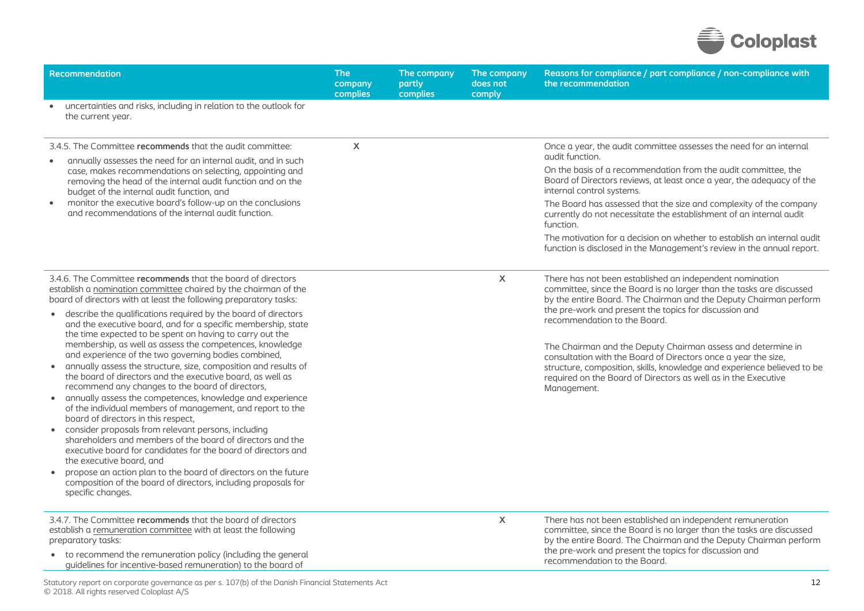

| <b>Recommendation</b>                                                                                                                                                                                                                                                                                                                                                                                                                                                                                                                                                                                                                                                                                                                                                                                                                                                                                                                                                                                                                                                                                                                                                                                                                                      | <b>The</b><br>company<br>complies | The company<br>partly<br>complies | The company<br>does not<br>comply | Reasons for compliance / part compliance / non-compliance with<br>the recommendation                                                                                                                                                                                                                                                                                                                                                                                                                                                                                                          |
|------------------------------------------------------------------------------------------------------------------------------------------------------------------------------------------------------------------------------------------------------------------------------------------------------------------------------------------------------------------------------------------------------------------------------------------------------------------------------------------------------------------------------------------------------------------------------------------------------------------------------------------------------------------------------------------------------------------------------------------------------------------------------------------------------------------------------------------------------------------------------------------------------------------------------------------------------------------------------------------------------------------------------------------------------------------------------------------------------------------------------------------------------------------------------------------------------------------------------------------------------------|-----------------------------------|-----------------------------------|-----------------------------------|-----------------------------------------------------------------------------------------------------------------------------------------------------------------------------------------------------------------------------------------------------------------------------------------------------------------------------------------------------------------------------------------------------------------------------------------------------------------------------------------------------------------------------------------------------------------------------------------------|
| uncertainties and risks, including in relation to the outlook for<br>$\bullet$<br>the current year.                                                                                                                                                                                                                                                                                                                                                                                                                                                                                                                                                                                                                                                                                                                                                                                                                                                                                                                                                                                                                                                                                                                                                        |                                   |                                   |                                   |                                                                                                                                                                                                                                                                                                                                                                                                                                                                                                                                                                                               |
| 3.4.5. The Committee recommends that the audit committee:<br>annually assesses the need for an internal audit, and in such<br>case, makes recommendations on selecting, appointing and<br>removing the head of the internal audit function and on the<br>budget of the internal audit function, and<br>monitor the executive board's follow-up on the conclusions<br>and recommendations of the internal audit function.                                                                                                                                                                                                                                                                                                                                                                                                                                                                                                                                                                                                                                                                                                                                                                                                                                   | $\mathsf{x}$                      |                                   |                                   | Once a year, the audit committee assesses the need for an internal<br>audit function.<br>On the basis of a recommendation from the audit committee, the<br>Board of Directors reviews, at least once a year, the adequacy of the<br>internal control systems.<br>The Board has assessed that the size and complexity of the company<br>currently do not necessitate the establishment of an internal audit<br>function.<br>The motivation for a decision on whether to establish an internal audit<br>function is disclosed in the Management's review in the annual report.                  |
| 3.4.6. The Committee recommends that the board of directors<br>establish a nomination committee chaired by the chairman of the<br>board of directors with at least the following preparatory tasks:<br>• describe the qualifications required by the board of directors<br>and the executive board, and for a specific membership, state<br>the time expected to be spent on having to carry out the<br>membership, as well as assess the competences, knowledge<br>and experience of the two governing bodies combined,<br>annually assess the structure, size, composition and results of<br>the board of directors and the executive board, as well as<br>recommend any changes to the board of directors,<br>annually assess the competences, knowledge and experience<br>of the individual members of management, and report to the<br>board of directors in this respect,<br>consider proposals from relevant persons, including<br>shareholders and members of the board of directors and the<br>executive board for candidates for the board of directors and<br>the executive board, and<br>propose an action plan to the board of directors on the future<br>composition of the board of directors, including proposals for<br>specific changes. |                                   |                                   | X                                 | There has not been established an independent nomination<br>committee, since the Board is no larger than the tasks are discussed<br>by the entire Board. The Chairman and the Deputy Chairman perform<br>the pre-work and present the topics for discussion and<br>recommendation to the Board.<br>The Chairman and the Deputy Chairman assess and determine in<br>consultation with the Board of Directors once a year the size,<br>structure, composition, skills, knowledge and experience believed to be<br>required on the Board of Directors as well as in the Executive<br>Management. |
| 3.4.7. The Committee recommends that the board of directors<br>establish a remuneration committee with at least the following<br>preparatory tasks:<br>• to recommend the remuneration policy (including the general<br>quidelines for incentive-based remuneration) to the board of<br>$\mathcal{A} = \mathcal{A} \times \mathcal{A} \times \mathcal{A} \times \mathcal{A} \times \mathcal{A} \times \mathcal{A} \times \mathcal{A} \times \mathcal{A} \times \mathcal{A} \times \mathcal{A} \times \mathcal{A} \times \mathcal{A} \times \mathcal{A} \times \mathcal{A} \times \mathcal{A} \times \mathcal{A} \times \mathcal{A} \times \mathcal{A} \times \mathcal{A} \times \mathcal{A} \times \mathcal{A} \times \mathcal{A} \times \mathcal{A} \times \mathcal{A} \times \mathcal{A} \times \mathcal{A} \times \mathcal{A$                                                                                                                                                                                                                                                                                                                                                                                                                           |                                   |                                   | X                                 | There has not been established an independent remuneration<br>committee, since the Board is no larger than the tasks are discussed<br>by the entire Board. The Chairman and the Deputy Chairman perform<br>the pre-work and present the topics for discussion and<br>recommendation to the Board.                                                                                                                                                                                                                                                                                             |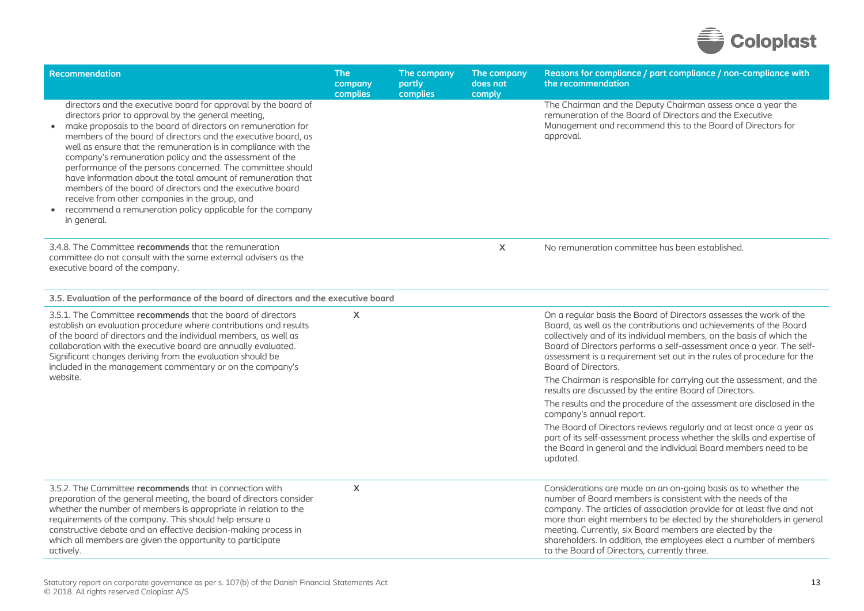

| Recommendation                                                                                                                                                                                                                                                                                                                                                                                                                                                                                                                                                                                                                                                                                                | <b>The</b><br>company<br>complies | The company<br>partly<br>complies | The company<br>does not<br>comply | Reasons for compliance / part compliance / non-compliance with<br>the recommendation                                                                                                                                                                                                                                                                                                                                                                             |
|---------------------------------------------------------------------------------------------------------------------------------------------------------------------------------------------------------------------------------------------------------------------------------------------------------------------------------------------------------------------------------------------------------------------------------------------------------------------------------------------------------------------------------------------------------------------------------------------------------------------------------------------------------------------------------------------------------------|-----------------------------------|-----------------------------------|-----------------------------------|------------------------------------------------------------------------------------------------------------------------------------------------------------------------------------------------------------------------------------------------------------------------------------------------------------------------------------------------------------------------------------------------------------------------------------------------------------------|
| directors and the executive board for approval by the board of<br>directors prior to approval by the general meeting,<br>make proposals to the board of directors on remuneration for<br>members of the board of directors and the executive board, as<br>well as ensure that the remuneration is in compliance with the<br>company's remuneration policy and the assessment of the<br>performance of the persons concerned. The committee should<br>have information about the total amount of remuneration that<br>members of the board of directors and the executive board<br>receive from other companies in the group, and<br>recommend a remuneration policy applicable for the company<br>in general. |                                   |                                   |                                   | The Chairman and the Deputy Chairman assess once a year the<br>remuneration of the Board of Directors and the Executive<br>Management and recommend this to the Board of Directors for<br>approval.                                                                                                                                                                                                                                                              |
| 3.4.8. The Committee recommends that the remuneration<br>committee do not consult with the same external advisers as the<br>executive board of the company.                                                                                                                                                                                                                                                                                                                                                                                                                                                                                                                                                   |                                   |                                   | X                                 | No remuneration committee has been established.                                                                                                                                                                                                                                                                                                                                                                                                                  |
| 3.5. Evaluation of the performance of the board of directors and the executive board                                                                                                                                                                                                                                                                                                                                                                                                                                                                                                                                                                                                                          |                                   |                                   |                                   |                                                                                                                                                                                                                                                                                                                                                                                                                                                                  |
| 3.5.1. The Committee recommends that the board of directors<br>establish an evaluation procedure where contributions and results<br>of the board of directors and the individual members, as well as<br>collaboration with the executive board are annually evaluated.<br>Significant changes deriving from the evaluation should be<br>included in the management commentary or on the company's                                                                                                                                                                                                                                                                                                             | $\boldsymbol{\mathsf{X}}$         |                                   |                                   | On a regular basis the Board of Directors assesses the work of the<br>Board, as well as the contributions and achievements of the Board<br>collectively and of its individual members, on the basis of which the<br>Board of Directors performs a self-assessment once a year. The self-<br>assessment is a requirement set out in the rules of procedure for the<br>Board of Directors.                                                                         |
| website.                                                                                                                                                                                                                                                                                                                                                                                                                                                                                                                                                                                                                                                                                                      |                                   |                                   |                                   | The Chairman is responsible for carrying out the assessment, and the<br>results are discussed by the entire Board of Directors.                                                                                                                                                                                                                                                                                                                                  |
|                                                                                                                                                                                                                                                                                                                                                                                                                                                                                                                                                                                                                                                                                                               |                                   |                                   |                                   | The results and the procedure of the assessment are disclosed in the<br>company's annual report.                                                                                                                                                                                                                                                                                                                                                                 |
|                                                                                                                                                                                                                                                                                                                                                                                                                                                                                                                                                                                                                                                                                                               |                                   |                                   |                                   | The Board of Directors reviews regularly and at least once a year as<br>part of its self-assessment process whether the skills and expertise of<br>the Board in general and the individual Board members need to be<br>updated.                                                                                                                                                                                                                                  |
| 3.5.2. The Committee recommends that in connection with<br>preparation of the general meeting, the board of directors consider<br>whether the number of members is appropriate in relation to the<br>requirements of the company. This should help ensure a<br>constructive debate and an effective decision-making process in<br>which all members are given the opportunity to participate<br>actively.                                                                                                                                                                                                                                                                                                     | X                                 |                                   |                                   | Considerations are made on an on-going basis as to whether the<br>number of Board members is consistent with the needs of the<br>company. The articles of association provide for at least five and not<br>more than eight members to be elected by the shareholders in general<br>meeting. Currently, six Board members are elected by the<br>shareholders. In addition, the employees elect a number of members<br>to the Board of Directors, currently three. |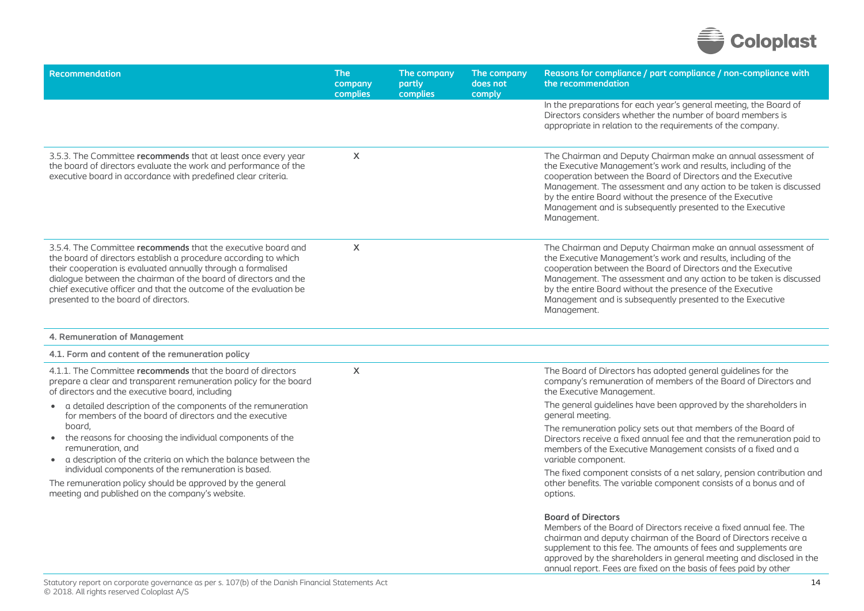

| <b>Recommendation</b>                                                                                                                                                                                                                                                                                                                                                           | <b>The</b><br>company<br>complies | The company<br>partly<br>complies | The company<br>does not<br>comply | Reasons for compliance / part compliance / non-compliance with<br>the recommendation                                                                                                                                                                                                                                                                                                                          |
|---------------------------------------------------------------------------------------------------------------------------------------------------------------------------------------------------------------------------------------------------------------------------------------------------------------------------------------------------------------------------------|-----------------------------------|-----------------------------------|-----------------------------------|---------------------------------------------------------------------------------------------------------------------------------------------------------------------------------------------------------------------------------------------------------------------------------------------------------------------------------------------------------------------------------------------------------------|
|                                                                                                                                                                                                                                                                                                                                                                                 |                                   |                                   |                                   | In the preparations for each year's general meeting, the Board of<br>Directors considers whether the number of board members is<br>appropriate in relation to the requirements of the company.                                                                                                                                                                                                                |
| 3.5.3. The Committee recommends that at least once every year<br>the board of directors evaluate the work and performance of the<br>executive board in accordance with predefined clear criteria.                                                                                                                                                                               | $\boldsymbol{\mathsf{X}}$         |                                   |                                   | The Chairman and Deputy Chairman make an annual assessment of<br>the Executive Management's work and results, including of the<br>cooperation between the Board of Directors and the Executive<br>Management. The assessment and any action to be taken is discussed<br>by the entire Board without the presence of the Executive<br>Management and is subsequently presented to the Executive<br>Management. |
| 3.5.4. The Committee recommends that the executive board and<br>the board of directors establish a procedure according to which<br>their cooperation is evaluated annually through a formalised<br>dialogue between the chairman of the board of directors and the<br>chief executive officer and that the outcome of the evaluation be<br>presented to the board of directors. | $\boldsymbol{\mathsf{X}}$         |                                   |                                   | The Chairman and Deputy Chairman make an annual assessment of<br>the Executive Management's work and results, including of the<br>cooperation between the Board of Directors and the Executive<br>Management. The assessment and any action to be taken is discussed<br>by the entire Board without the presence of the Executive<br>Management and is subsequently presented to the Executive<br>Management. |
| 4. Remuneration of Management                                                                                                                                                                                                                                                                                                                                                   |                                   |                                   |                                   |                                                                                                                                                                                                                                                                                                                                                                                                               |
| 4.1. Form and content of the remuneration policy                                                                                                                                                                                                                                                                                                                                |                                   |                                   |                                   |                                                                                                                                                                                                                                                                                                                                                                                                               |
| 4.1.1. The Committee recommends that the board of directors<br>prepare a clear and transparent remuneration policy for the board<br>of directors and the executive board, including                                                                                                                                                                                             | $\boldsymbol{\mathsf{X}}$         |                                   |                                   | The Board of Directors has adopted general guidelines for the<br>company's remuneration of members of the Board of Directors and<br>the Executive Management.                                                                                                                                                                                                                                                 |
| • a detailed description of the components of the remuneration<br>for members of the board of directors and the executive                                                                                                                                                                                                                                                       |                                   |                                   |                                   | The general guidelines have been approved by the shareholders in<br>general meeting.                                                                                                                                                                                                                                                                                                                          |
| board,<br>• the reasons for choosing the individual components of the<br>remuneration, and<br>• a description of the criteria on which the balance between the                                                                                                                                                                                                                  |                                   |                                   |                                   | The remuneration policy sets out that members of the Board of<br>Directors receive a fixed annual fee and that the remuneration paid to<br>members of the Executive Management consists of a fixed and a<br>variable component.                                                                                                                                                                               |
| individual components of the remuneration is based.<br>The remuneration policy should be approved by the general<br>meeting and published on the company's website.                                                                                                                                                                                                             |                                   |                                   |                                   | The fixed component consists of a net salary, pension contribution and<br>other benefits. The variable component consists of a bonus and of<br>options.                                                                                                                                                                                                                                                       |
|                                                                                                                                                                                                                                                                                                                                                                                 |                                   |                                   |                                   | <b>Board of Directors</b><br>Members of the Board of Directors receive a fixed annual fee. The<br>chairman and deputy chairman of the Board of Directors receive a<br>supplement to this fee. The amounts of fees and supplements are<br>approved by the shareholders in general meeting and disclosed in the                                                                                                 |

annual report. Fees are fixed on the basis of fees paid by other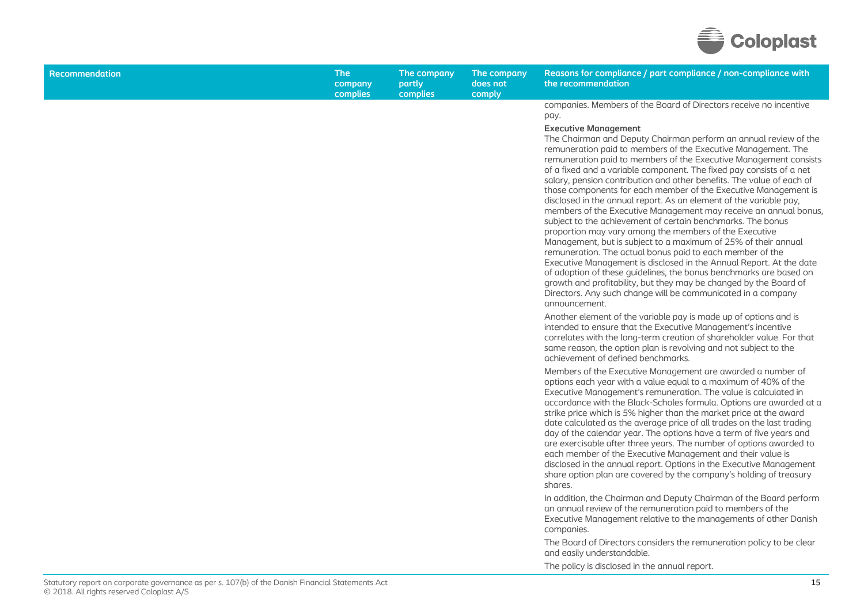

| <b>Recommendation</b> | <b>The</b><br>company<br>complies | The company<br>partly<br>complies | The company<br>does not<br>comply | Reasons for compliance / part compliance / non-compliance with<br>the recommendation                                                                                                                                                                                                                                                                                                                                                                                                                                                                                                                                                                                                                                                                                                                                                                                                                                                                                                                                                                                                                                                                                                                                                        |
|-----------------------|-----------------------------------|-----------------------------------|-----------------------------------|---------------------------------------------------------------------------------------------------------------------------------------------------------------------------------------------------------------------------------------------------------------------------------------------------------------------------------------------------------------------------------------------------------------------------------------------------------------------------------------------------------------------------------------------------------------------------------------------------------------------------------------------------------------------------------------------------------------------------------------------------------------------------------------------------------------------------------------------------------------------------------------------------------------------------------------------------------------------------------------------------------------------------------------------------------------------------------------------------------------------------------------------------------------------------------------------------------------------------------------------|
|                       |                                   |                                   |                                   | companies. Members of the Board of Directors receive no incentive<br>pay.<br><b>Executive Management</b><br>The Chairman and Deputy Chairman perform an annual review of the<br>remuneration paid to members of the Executive Management. The<br>remuneration paid to members of the Executive Management consists<br>of a fixed and a variable component. The fixed pay consists of a net<br>salary, pension contribution and other benefits. The value of each of<br>those components for each member of the Executive Management is<br>disclosed in the annual report. As an element of the variable pay,<br>members of the Executive Management may receive an annual bonus,<br>subject to the achievement of certain benchmarks. The bonus<br>proportion may vary among the members of the Executive<br>Management, but is subject to a maximum of 25% of their annual<br>remuneration. The actual bonus paid to each member of the<br>Executive Management is disclosed in the Annual Report. At the date<br>of adoption of these guidelines, the bonus benchmarks are based on<br>growth and profitability, but they may be changed by the Board of<br>Directors. Any such change will be communicated in a company<br>announcement. |
|                       |                                   |                                   |                                   | Another element of the variable pay is made up of options and is<br>intended to ensure that the Executive Management's incentive<br>correlates with the long-term creation of shareholder value. For that<br>same reason, the option plan is revolving and not subject to the<br>achievement of defined benchmarks.                                                                                                                                                                                                                                                                                                                                                                                                                                                                                                                                                                                                                                                                                                                                                                                                                                                                                                                         |
|                       |                                   |                                   |                                   | Members of the Executive Management are awarded a number of<br>options each year with a value equal to a maximum of 40% of the<br>Executive Management's remuneration. The value is calculated in<br>accordance with the Black-Scholes formula. Options are awarded at a<br>strike price which is 5% higher than the market price at the award<br>date calculated as the average price of all trades on the last trading<br>day of the calendar year. The options have a term of five years and<br>are exercisable after three years. The number of options awarded to<br>each member of the Executive Management and their value is<br>disclosed in the annual report. Options in the Executive Management<br>share option plan are covered by the company's holding of treasury<br>shares.                                                                                                                                                                                                                                                                                                                                                                                                                                                |
|                       |                                   |                                   |                                   | In addition, the Chairman and Deputy Chairman of the Board perform<br>an annual review of the remuneration paid to members of the<br>Executive Management relative to the managements of other Danish<br>companies.                                                                                                                                                                                                                                                                                                                                                                                                                                                                                                                                                                                                                                                                                                                                                                                                                                                                                                                                                                                                                         |
|                       |                                   |                                   |                                   | The Board of Directors considers the remuneration policy to be clear<br>and easily understandable.                                                                                                                                                                                                                                                                                                                                                                                                                                                                                                                                                                                                                                                                                                                                                                                                                                                                                                                                                                                                                                                                                                                                          |

The policy is disclosed in the annual report.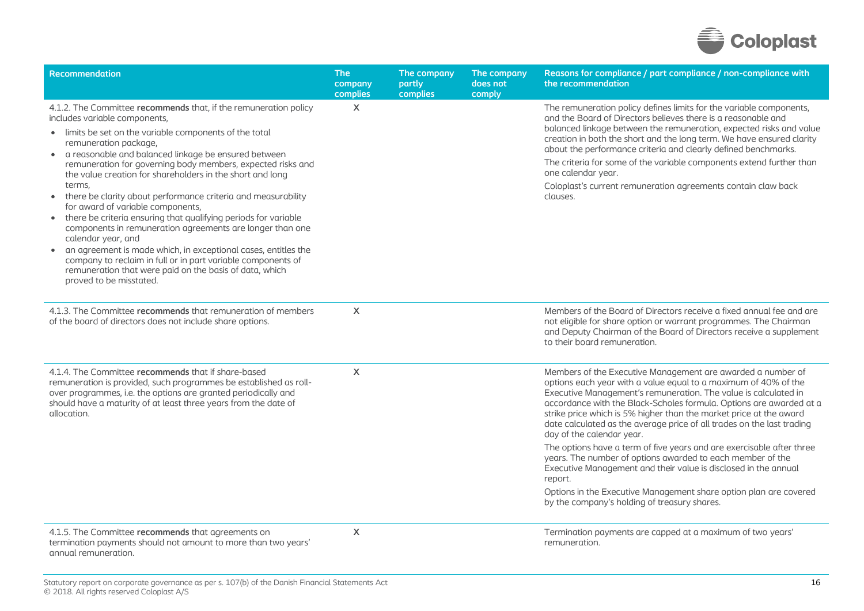

| <b>Recommendation</b>                                                                                                                                                                                                                                                                                                                                                                                                                                                                                                                                                                                                                                                                                                                                                                                                                                                                             | <b>The</b><br>company<br>complies | The company<br>partly<br>complies | The company<br>does not<br>comply | Reasons for compliance / part compliance / non-compliance with<br>the recommendation                                                                                                                                                                                                                                                                                                                                                                                                                                                                                                                                                                                                                                                                                                            |
|---------------------------------------------------------------------------------------------------------------------------------------------------------------------------------------------------------------------------------------------------------------------------------------------------------------------------------------------------------------------------------------------------------------------------------------------------------------------------------------------------------------------------------------------------------------------------------------------------------------------------------------------------------------------------------------------------------------------------------------------------------------------------------------------------------------------------------------------------------------------------------------------------|-----------------------------------|-----------------------------------|-----------------------------------|-------------------------------------------------------------------------------------------------------------------------------------------------------------------------------------------------------------------------------------------------------------------------------------------------------------------------------------------------------------------------------------------------------------------------------------------------------------------------------------------------------------------------------------------------------------------------------------------------------------------------------------------------------------------------------------------------------------------------------------------------------------------------------------------------|
| 4.1.2. The Committee recommends that, if the remuneration policy<br>includes variable components,<br>• limits be set on the variable components of the total<br>remuneration package,<br>a reasonable and balanced linkage be ensured between<br>$\bullet$<br>remuneration for governing body members, expected risks and<br>the value creation for shareholders in the short and long<br>terms,<br>there be clarity about performance criteria and measurability<br>$\bullet$<br>for award of variable components,<br>there be criteria ensuring that qualifying periods for variable<br>components in remuneration agreements are longer than one<br>calendar year, and<br>an agreement is made which, in exceptional cases, entitles the<br>company to reclaim in full or in part variable components of<br>remuneration that were paid on the basis of data, which<br>proved to be misstated. | X                                 |                                   |                                   | The remuneration policy defines limits for the variable components,<br>and the Board of Directors believes there is a reasonable and<br>balanced linkage between the remuneration, expected risks and value<br>creation in both the short and the long term. We have ensured clarity<br>about the performance criteria and clearly defined benchmarks.<br>The criteria for some of the variable components extend further than<br>one calendar year.<br>Coloplast's current remuneration agreements contain claw back<br>clauses.                                                                                                                                                                                                                                                               |
| 4.1.3. The Committee recommends that remuneration of members<br>of the board of directors does not include share options.                                                                                                                                                                                                                                                                                                                                                                                                                                                                                                                                                                                                                                                                                                                                                                         | $\boldsymbol{\mathsf{X}}$         |                                   |                                   | Members of the Board of Directors receive a fixed annual fee and are<br>not eligible for share option or warrant programmes. The Chairman<br>and Deputy Chairman of the Board of Directors receive a supplement<br>to their board remuneration.                                                                                                                                                                                                                                                                                                                                                                                                                                                                                                                                                 |
| 4.1.4. The Committee recommends that if share-based<br>remuneration is provided, such programmes be established as roll-<br>over programmes, i.e. the options are granted periodically and<br>should have a maturity of at least three years from the date of<br>allocation.                                                                                                                                                                                                                                                                                                                                                                                                                                                                                                                                                                                                                      | X                                 |                                   |                                   | Members of the Executive Management are awarded a number of<br>options each year with a value equal to a maximum of 40% of the<br>Executive Management's remuneration. The value is calculated in<br>accordance with the Black-Scholes formula. Options are awarded at a<br>strike price which is 5% higher than the market price at the award<br>date calculated as the average price of all trades on the last trading<br>day of the calendar year.<br>The options have a term of five years and are exercisable after three<br>years. The number of options awarded to each member of the<br>Executive Management and their value is disclosed in the annual<br>report.<br>Options in the Executive Management share option plan are covered<br>by the company's holding of treasury shares. |
| 4.1.5. The Committee recommends that agreements on<br>termination payments should not amount to more than two years'<br>annual remuneration.                                                                                                                                                                                                                                                                                                                                                                                                                                                                                                                                                                                                                                                                                                                                                      | X                                 |                                   |                                   | Termination payments are capped at a maximum of two years'<br>remuneration.                                                                                                                                                                                                                                                                                                                                                                                                                                                                                                                                                                                                                                                                                                                     |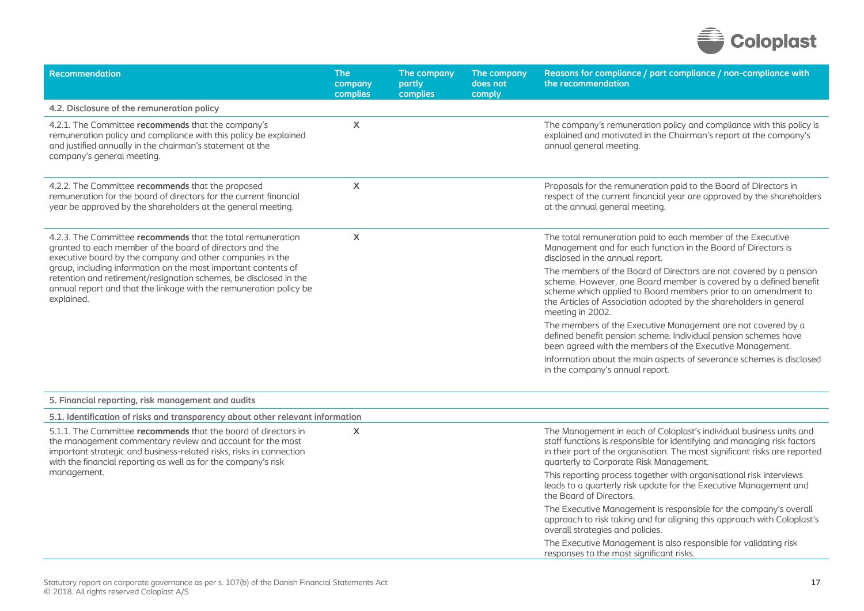

| Recommendation                                                                                                                                                                                                                                                                                                                                                                                                  | <b>The</b><br>company<br>complies | The company<br>partly<br>complies | The company<br>does not<br>comply | Reasons for compliance / part compliance / non-compliance with<br>the recommendation                                                                                                                                                                                                                |
|-----------------------------------------------------------------------------------------------------------------------------------------------------------------------------------------------------------------------------------------------------------------------------------------------------------------------------------------------------------------------------------------------------------------|-----------------------------------|-----------------------------------|-----------------------------------|-----------------------------------------------------------------------------------------------------------------------------------------------------------------------------------------------------------------------------------------------------------------------------------------------------|
| 4.2. Disclosure of the remuneration policy                                                                                                                                                                                                                                                                                                                                                                      |                                   |                                   |                                   |                                                                                                                                                                                                                                                                                                     |
| 4.2.1. The Committee recommends that the company's<br>remuneration policy and compliance with this policy be explained<br>and justified annually in the chairman's statement at the<br>company's general meeting.                                                                                                                                                                                               | X                                 |                                   |                                   | The company's remuneration policy and compliance with this policy is<br>explained and motivated in the Chairman's report at the company's<br>annual general meeting.                                                                                                                                |
| 4.2.2. The Committee recommends that the proposed<br>remuneration for the board of directors for the current financial<br>year be approved by the shareholders at the general meeting.                                                                                                                                                                                                                          | X                                 |                                   |                                   | Proposals for the remuneration paid to the Board of Directors in<br>respect of the current financial year are approved by the shareholders<br>at the annual general meeting.                                                                                                                        |
| 4.2.3. The Committee recommends that the total remuneration<br>granted to each member of the board of directors and the<br>executive board by the company and other companies in the<br>group, including information on the most important contents of<br>retention and retirement/resignation schemes, be disclosed in the<br>annual report and that the linkage with the remuneration policy be<br>explained. | X                                 |                                   |                                   | The total remuneration paid to each member of the Executive<br>Management and for each function in the Board of Directors is<br>disclosed in the annual report.                                                                                                                                     |
|                                                                                                                                                                                                                                                                                                                                                                                                                 |                                   |                                   |                                   | The members of the Board of Directors are not covered by a pension<br>scheme. However, one Board member is covered by a defined benefit<br>scheme which applied to Board members prior to an amendment to<br>the Articles of Association adopted by the shareholders in general<br>meeting in 2002. |
|                                                                                                                                                                                                                                                                                                                                                                                                                 |                                   |                                   |                                   | The members of the Executive Management are not covered by a<br>defined benefit pension scheme. Individual pension schemes have<br>been agreed with the members of the Executive Management.                                                                                                        |
|                                                                                                                                                                                                                                                                                                                                                                                                                 |                                   |                                   |                                   | Information about the main aspects of severance schemes is disclosed<br>in the company's annual report.                                                                                                                                                                                             |
| 5. Financial reporting, risk management and audits                                                                                                                                                                                                                                                                                                                                                              |                                   |                                   |                                   |                                                                                                                                                                                                                                                                                                     |
| 5.1. Identification of risks and transparency about other relevant information                                                                                                                                                                                                                                                                                                                                  |                                   |                                   |                                   |                                                                                                                                                                                                                                                                                                     |
| 5.1.1. The Committee recommends that the board of directors in<br>the management commentary review and account for the most<br>important strategic and business-related risks, risks in connection<br>with the financial reporting as well as for the company's risk<br>management.                                                                                                                             | X                                 |                                   |                                   | The Management in each of Coloplast's individual business units and<br>staff functions is responsible for identifying and managing risk factors<br>in their part of the organisation. The most significant risks are reported<br>quarterly to Corporate Risk Management.                            |
|                                                                                                                                                                                                                                                                                                                                                                                                                 |                                   |                                   |                                   | This reporting process together with organisational risk interviews<br>leads to a quarterly risk update for the Executive Management and<br>the Board of Directors.                                                                                                                                 |
|                                                                                                                                                                                                                                                                                                                                                                                                                 |                                   |                                   |                                   | The Executive Management is responsible for the company's overall<br>approach to risk taking and for aligning this approach with Coloplast's<br>overall strategies and policies.                                                                                                                    |
|                                                                                                                                                                                                                                                                                                                                                                                                                 |                                   |                                   |                                   | The Executive Management is also responsible for validating risk<br>responses to the most significant risks.                                                                                                                                                                                        |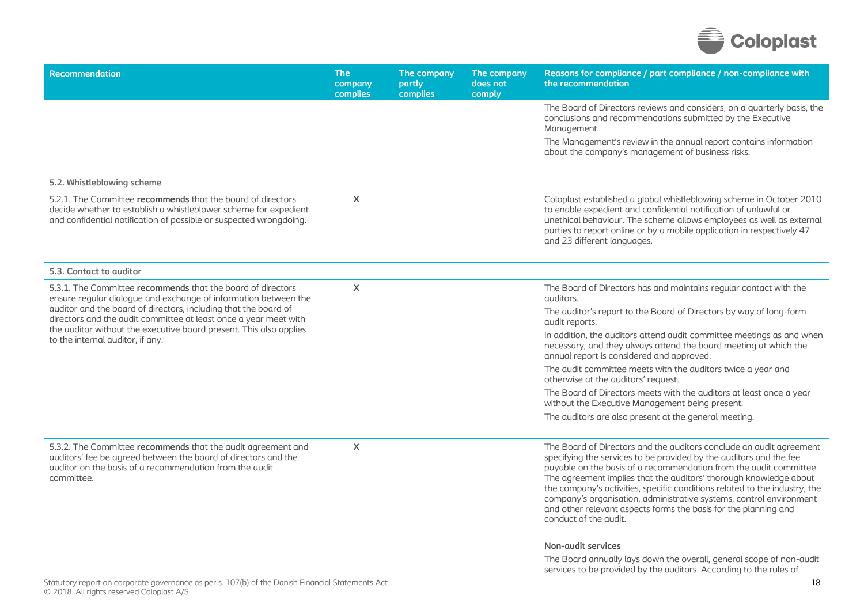

| <b>Recommendation</b>                                                                                                                                                                                                                                                                                                                                                           | <b>The</b><br>company<br>complies | The company<br>partly<br>complies | The company<br>does not<br>comply | Reasons for compliance / part compliance / non-compliance with<br>the recommendation                                                                                                                                                                                                                                                                                                                                                                                                                                                  |
|---------------------------------------------------------------------------------------------------------------------------------------------------------------------------------------------------------------------------------------------------------------------------------------------------------------------------------------------------------------------------------|-----------------------------------|-----------------------------------|-----------------------------------|---------------------------------------------------------------------------------------------------------------------------------------------------------------------------------------------------------------------------------------------------------------------------------------------------------------------------------------------------------------------------------------------------------------------------------------------------------------------------------------------------------------------------------------|
|                                                                                                                                                                                                                                                                                                                                                                                 |                                   |                                   |                                   | The Board of Directors reviews and considers, on a quarterly basis, the<br>conclusions and recommendations submitted by the Executive<br>Management.                                                                                                                                                                                                                                                                                                                                                                                  |
|                                                                                                                                                                                                                                                                                                                                                                                 |                                   |                                   |                                   | The Management's review in the annual report contains information<br>about the company's management of business risks.                                                                                                                                                                                                                                                                                                                                                                                                                |
| 5.2. Whistleblowing scheme                                                                                                                                                                                                                                                                                                                                                      |                                   |                                   |                                   |                                                                                                                                                                                                                                                                                                                                                                                                                                                                                                                                       |
| 5.2.1. The Committee recommends that the board of directors<br>decide whether to establish a whistleblower scheme for expedient<br>and confidential notification of possible or suspected wrongdoing.                                                                                                                                                                           | $\mathsf{X}$                      |                                   |                                   | Coloplast established a global whistleblowing scheme in October 2010<br>to enable expedient and confidential notification of unlawful or<br>unethical behaviour. The scheme allows employees as well as external<br>parties to report online or by a mobile application in respectively 47<br>and 23 different languages.                                                                                                                                                                                                             |
| 5.3. Contact to auditor                                                                                                                                                                                                                                                                                                                                                         |                                   |                                   |                                   |                                                                                                                                                                                                                                                                                                                                                                                                                                                                                                                                       |
| 5.3.1. The Committee recommends that the board of directors<br>ensure regular dialogue and exchange of information between the<br>auditor and the board of directors, including that the board of<br>directors and the audit committee at least once a year meet with<br>the auditor without the executive board present. This also applies<br>to the internal auditor, if any. | $\boldsymbol{\mathsf{X}}$         |                                   |                                   | The Board of Directors has and maintains regular contact with the<br>auditors.                                                                                                                                                                                                                                                                                                                                                                                                                                                        |
|                                                                                                                                                                                                                                                                                                                                                                                 |                                   |                                   |                                   | The auditor's report to the Board of Directors by way of long-form<br>audit reports.                                                                                                                                                                                                                                                                                                                                                                                                                                                  |
|                                                                                                                                                                                                                                                                                                                                                                                 |                                   |                                   |                                   | In addition, the auditors attend audit committee meetings as and when<br>necessary, and they always attend the board meeting at which the<br>annual report is considered and approved.                                                                                                                                                                                                                                                                                                                                                |
|                                                                                                                                                                                                                                                                                                                                                                                 |                                   |                                   |                                   | The audit committee meets with the auditors twice a year and<br>otherwise at the auditors' request.                                                                                                                                                                                                                                                                                                                                                                                                                                   |
|                                                                                                                                                                                                                                                                                                                                                                                 |                                   |                                   |                                   | The Board of Directors meets with the auditors at least once a year<br>without the Executive Management being present.                                                                                                                                                                                                                                                                                                                                                                                                                |
|                                                                                                                                                                                                                                                                                                                                                                                 |                                   |                                   |                                   | The auditors are also present at the general meeting.                                                                                                                                                                                                                                                                                                                                                                                                                                                                                 |
| 5.3.2. The Committee recommends that the audit agreement and<br>auditors' fee be agreed between the board of directors and the<br>auditor on the basis of a recommendation from the audit<br>committee.                                                                                                                                                                         | X                                 |                                   |                                   | The Board of Directors and the auditors conclude an audit agreement<br>specifying the services to be provided by the auditors and the fee<br>payable on the basis of a recommendation from the audit committee.<br>The agreement implies that the auditors' thorough knowledge about<br>the company's activities, specific conditions related to the industry, the<br>company's organisation, administrative systems, control environment<br>and other relevant aspects forms the basis for the planning and<br>conduct of the audit. |
|                                                                                                                                                                                                                                                                                                                                                                                 |                                   |                                   |                                   | <b>Non-audit services</b>                                                                                                                                                                                                                                                                                                                                                                                                                                                                                                             |
|                                                                                                                                                                                                                                                                                                                                                                                 |                                   |                                   |                                   | The Board annually lays down the overall, general scope of non-audit<br>services to be provided by the auditors. According to the rules of                                                                                                                                                                                                                                                                                                                                                                                            |